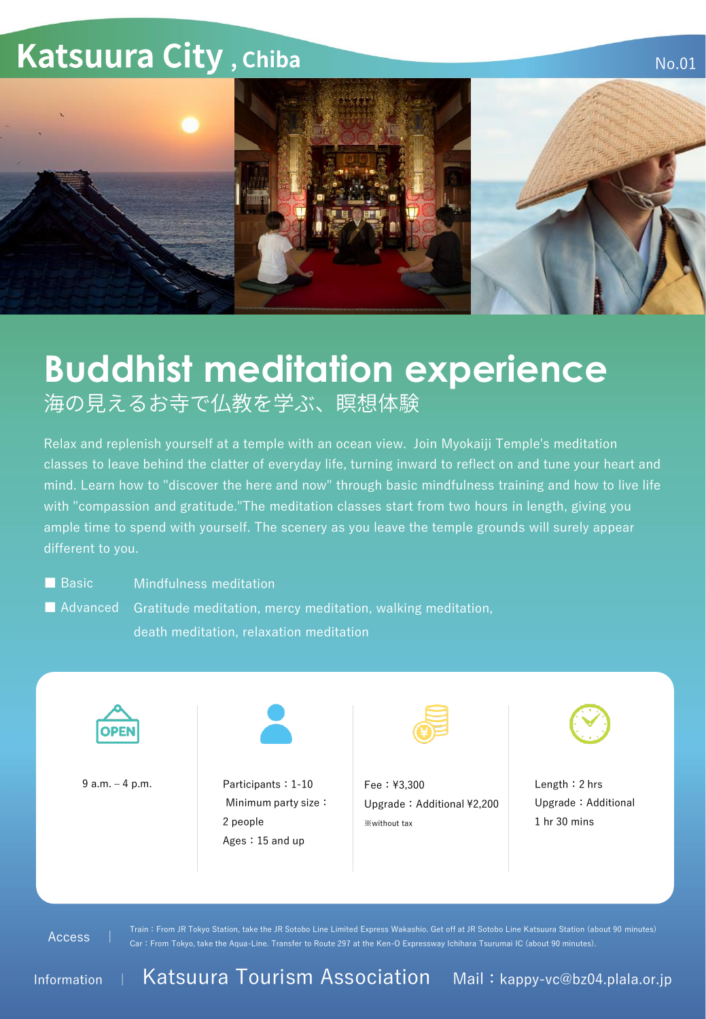## **Katsuura City, Chiba**



## **Buddhist meditation experience**<br>海の見えるお寺で仏教を学ぶ、瞑想体験

Relax and replenish yourself at a temple with an ocean view. Join Myokaiji Temple's meditation classes to leave behind the clatter of everyday life, turning inward to reflect on and tune your heart and mind. Learn how to "discover the here and now" through basic mindfulness training and how to live life with "compassion and gratitude."The meditation classes start from two hours in length, giving you ample time to spend with yourself. The scenery as you leave the temple grounds will surely appear different to you.

■ Basic **Mindfulness meditation** 

■ Advanced Gratitude meditation, mercy meditation, walking meditation, death meditation, relaxation meditation



9 a.m. -4 p.m. <br>
Participants: 1-10 Minimum party size: 2 people Ages:15 and up



Fee:¥3,300 Upgrade: Additional ¥2,200  $\frac{1}{2}$  without tax  $\frac{1}{2}$  hr 30 mins



No.01

Length:2 hrs Upgrade:Additional

Access |

Train:From JR Tokyo Station, take the JR Sotobo Line Limited Express Wakashio. Get off at JR Sotobo Line Katsuura Station (about 90 minutes) Car:From Tokyo, take the Aqua-Line. Transfer to Route 297 at the Ken-O Expressway Ichihara Tsurumai IC (about 90 minutes).

Information <sup>|</sup> Katsuura Tourism Association Mail:kappy-vc@bz04.plala.or.jp